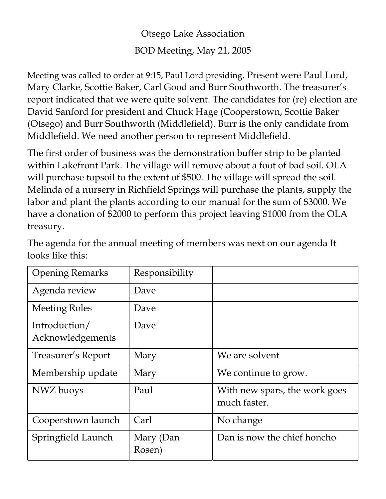Otsego Lake Association BOD Meeting, May 21, 2005

Meeting was called to order at 9:15, Paul Lord presiding. Present were Paul Lord, Mary Clarke, Scottie Baker, Carl Good and Burr Southworth. The treasurer's report indicated that we were quite solvent. The candidates for (re) election are David Sanford for president and Chuck Hage (Cooperstown, Scottie Baker (Otsego) and Burr Southworth (Middlefield). Burr is the only candidate from Middlefield. We need another person to represent Middlefield.

The first order of business was the demonstration buffer strip to be planted within Lakefront Park. The village will remove about a foot of bad soil. OLA will purchase topsoil to the extent of \$500. The village will spread the soil. Melinda of a nursery in Richfield Springs will purchase the plants, supply the labor and plant the plants according to our manual for the sum of \$3000. We have a donation of \$2000 to perform this project leaving \$1000 from the OLA treasury.

| <b>Opening Remarks</b>            | Responsibility      |                                               |
|-----------------------------------|---------------------|-----------------------------------------------|
| Agenda review                     | Dave                |                                               |
| <b>Meeting Roles</b>              | Dave                |                                               |
| Introduction/<br>Acknowledgements | Dave                |                                               |
| Treasurer's Report                | Mary                | We are solvent                                |
| Membership update                 | Mary                | We continue to grow.                          |
| NWZ buoys                         | Paul                | With new spars, the work goes<br>much faster. |
| Cooperstown launch                | Carl                | No change                                     |
| Springfield Launch                | Mary (Dan<br>Rosen) | Dan is now the chief honcho                   |

The agenda for the annual meeting of members was next on our agenda It looks like this: